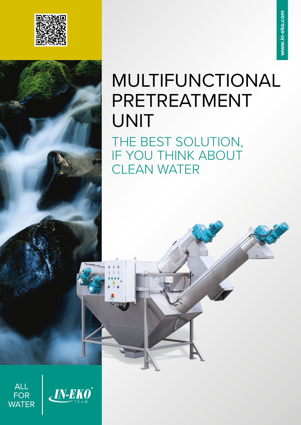



# MULTIFUNCTIONAL PRETREATMENT UNIT

THE BEST SOLUTION, IF YOU THINK ABOUT CLEAN WATER



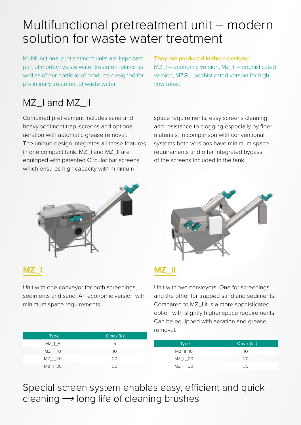# Multifunctional pretreatment unit – modern solution for waste water treatment

Multifunctional pretreatment units are important part of modern waste water treatment plants as well as of our portfolio of products designed for preliminary treatment of waste water.

#### **They are produced in three designs:**

MZ\_I – economic version, MZ\_II – sophisticated version, MZG – sophisticated version for high flow rates.

### MZ Land MZ II

Combined pretreament includes sand and heavy sediment trap, screens and optional aeration with automatic grease removal. The unique design integrates all these features in one compact tank. MZ\_I and MZ\_II are equipped with patented Circular bar screens which ensures high capacity with minimum





#### **MZ\_I**

Unit with one conveyor for both screenings, sediments and sand. An economic version with minimum space requirements.

| --<br>_                         |  |
|---------------------------------|--|
| _____<br><b>Service Service</b> |  |

Unit with two conveyors. One for screenings and the other for trapped sand and sediments. Compared to MZ\_I it is a more sophisticated option with slightly higher space requirements. Can be equipped with aeration and grease removal.

| Type      | $Qmax$ [ $I/s$ ] |             |                  |
|-----------|------------------|-------------|------------------|
| $MZ_l$ _5 | ל                | <b>Type</b> | $Qmax$ [ $I/s$ ] |
| MZ   10   | 10               | MZ II 10    | 10               |
| MZ 1 20   | 20               | MZ II 20    | 20               |
| MZ   30   | 30               | $MZ$ _II_30 | 30               |

Special screen system enables easy, efficient and quick cleaning  $\rightarrow$  long life of cleaning brushes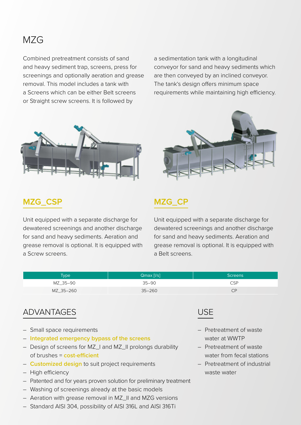#### MZG

Combined pretreatment consists of sand and heavy sediment trap, screens, press for screenings and optionally aeration and grease removal. This model includes a tank with a Screens which can be either Belt screens or Straight screw screens. It is followed by

a sedimentation tank with a longitudinal conveyor for sand and heavy sediments which are then conveyed by an inclined conveyor. The tank's design offers minimum space requirements while maintaining high efficiency.



#### **MZG\_CSP**

Unit equipped with a separate discharge for dewatered screenings and another discharge for sand and heavy sediments. Aeration and grease removal is optional. It is equipped with a Screw screens.



#### **MZG\_CP**

Unit equipped with a separate discharge for dewatered screenings and another discharge for sand and heavy sediments. Aeration and grease removal is optional. It is equipped with a Belt screens.

| <b>Type</b> | $Qmax$ [ $ I/s $ ] | <b>Screens</b> |
|-------------|--------------------|----------------|
| MZ 35-90    | $35 - 90$          | <b>CSP</b>     |
| MZ_35-260   | $35 - 260$         | CP             |

#### ADVANTAGES

- Small space requirements
- **Integrated emergency bypass of the screens**
- Design of screens for MZ\_I and MZ\_II prolongs durability of brushes = **cost-efficient**
- **Customized design** to suit project requirements
- High efficiency
- Patented and for years proven solution for preliminary treatment
- Washing of screenings already at the basic models
- Aeration with grease removal in MZ\_II and MZG versions
- Standard AISI 304, possibility of AISI 316L and AISI 316Ti



- Pretreatment of waste water at WWTP
- Pretreatment of waste water from fecal stations
- Pretreatment of industrial waste water